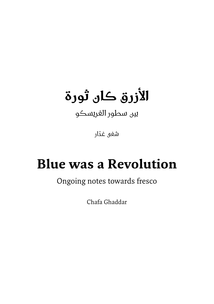## **األزرق كان ثورة**

بين سطور الفريسكو

ّ شفى غدار

## **Revolution**

## Ongoing notes towards fresco

Chafa Ghaddar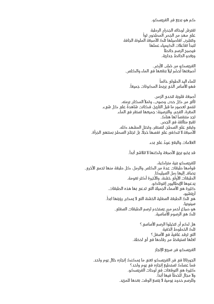كم هو بديع فن الفريسكو.

تفترش لوحاته الجدران الرطبة<br>على مهدٍ من الجص المطحون تواً وتتشرب تفاصيلها تلك الأصبغة الملونة الجافة ً لتبدأ تفاعالت الكيمياء عملها فيصبح الرسم حائطا ويغدو الحائط جدارية.

الفريسكو من صُلب الأرض. أصبغتها تُحضّر ليلاً بنقعها في الماء والكلس.

ً للماء اليد الطولى دائما فهو الأساس الَّذي يربط المكونات جميعاً.

أصبغة قلوية تتحدى الزمن. تأتي من كل حدب وصوب، وتملأ المكان برمته. تنتمي لعصور ما قبل التاريخ، فكانت شاهدةً على كل شيء. المغرة، الفحم، والترسينة؛ جميعها تستقر في الماء. تجد متنفساً لها هناك. تقبع متألقة في الجص. وتبقى على السطح، لتستقر، وتحتل المشهد كله. الأصبغة لا تنكفي على نفسها حجلًا، بل تجتاح السطح بمنتهى الجرأة.

العلامات والبقع عودٌ على بدء.

قد يذبو بريق الأصبغة ولكنها لا تتلاشى أبداً.

للفريسكو بنية متراكبة، قوامها طبقات عدة من الكلس والرمل، كل طبقة منها تحمي األخرى. يضاف إليها رمل السيليكا. الطبقات الأولى خشنة، والأخيرة أكثر نعومة. يدعوها اإليطاليون إنتوناكو. كثيرة هي الأسماء الجميلة التي تدعى بها هذه الطبقات. أريتشيو، هي تلَكَ الطبقة السفلية الحشنة التي لا يمكن رؤيتها ابداً. سينوبيا، هو صباغ أحمر مرن يستخدم لرسم الطبقات السفلى. تلك هي الرسوم الأساسية.

> هل لكم أن تتخيلوا الرسم الأساسي ؟ تلك الخطوط الخفية التي ترقد غافيةً في الأسفل ؟ لعلها تستيقظ من رقادها في أي لحظة.

> > الفريسكو فن سريع اإلنجاز

الجورناتا في فن الفريسكو تعني ما يمكنك إنجازه خالل يوم واحد. فما عساك تستطيع إنجازه في يوم واحد؟ كثيرة هي التوقعات في لوحات الفريسكو. ولا مجال للخطأ فيها أبداً. وللرسم حدود يومية ال يتسع الوقت بعدها للمزيد.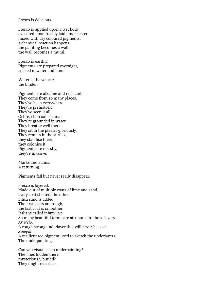Fresco is delicious

Fresco is applied upon a wet body, executed upon freshly laid lime plaster, mixed with dry coloured pigments, a chemical reaction happens, the painting becomes  $a$  wall, the wall becomes a mural.

Fresco is earthly. Pigments are prepared overnight, soaked in water and lime

Water is the vehicle. the binder

Pigments are alkaline and resistant. They come from so many places. They've been everywhere. They're prehistoric. They've seen it all. Ochre, charcoal, sienna. They're grounded in water. They breathe well there. They sit in the plaster gloriously. They remain in the surface, they stabilise there, they colonise it. Pigments are not shy, they're invasive.

Marks and stains A returning.

Pigments fall but never really disappear.

Fresco is layered. Made out of multiple coats of lime and sand, every coat shelters the other. Silica sand is added. The first coats are rough. the last coat is smoother. Italians called it *intonaco* So many beautiful terms are attributed to those layers. .*Arriccio* A rough strong underlayer that will never be seen. .*Sinopia* A resilient red pigment used to sketch the underlayers. The underpaintings.

Can you visualise an underpainting? The lines hidden there. mysteriously buried? They might resurface.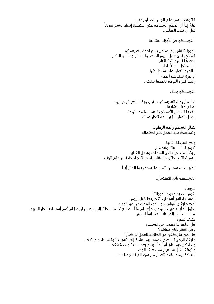فلا ينفع الرسم على الجص بعد ان يجف.<br>عليّ إذا أن أغطي المساحة حتى أستطيع إنهاء الرسم سريعاً قبل أن يجف الكلس.

الفريسكو فن الأحزاء المتتالية

الجورناتا تشير إلى مراحل رسم لوحة الفريسكو فتُظَّهِر نتاج عمل اليوم الواحد وتشكل جزءاً من الكل. وبعدها تصبح تلك األيام، أو المراحل، أو األطوار ّ ظاهرة للعيان على شكل شق ِ أو عرٍْق يمتد عبر الجدار رابطاً أجزاء اللوحة بعضها ببعض.

الفريسكو رحلة.

تكتمل رحلة الفريسكو مرتين، وبذلك تعيش حياتين؛ الأولى خلال إنشائها. وفيها تتكون الأسطح وترتسم ملامح اللوحة ويبذل الفنان ما بوسعه إلنجاز عمله.

> تتخلل السطح رائحة الرطوبة وتتماسك بنية العمل حتى اكتماله.

وفي المرحلة الثانية، تذوي تلك البنية، وتتصدع. يتبخر الماء، ويتداعى السطح، ويرحل الفنان. مسيرة الاضمحلال، والمقاومة، وملامح لوحة تصر على البقاء.

. ً الفريسكو تستمر بالنمو فال يستقر بها الحال أبدا

الفريسكو تأبى الاكتمال.

، ً سريعا أقوم بتحديد حدود الجورناتا، المساحة التي أستطيع تغطيتها خالل اليوم. أضع طبقتي الأولى على الجزء المخصص من الجدار. أحاول ألا أبالغ في طموحي، فأغطي ما أستطيع إكماله خلال اليوم حتى وان بدا لي أنني أستطيع انجاز المزيد. هكُذَا تكون الجورناتا انعكاساً ليومي كيف يبدو؟ هل أملك ما يكفي من الوقت؟ وهل أشعر بأنني بطيئة؟ هل لدي ما يكفي من الطاقة للعمل بال كلل؟ طبقة الجص تستغرق عموماً بين عشرة إلى اثنتي عشرة ساعة حتى تجف. ّ وبذلك يتعين علي أن أبدأ الرسم بعد ساعة واحدة فقط، وأتوقف قبل ساعتين من جفاف الجص. وهكذا يمتد وقت العمل من سبع إلى تسع ساعات.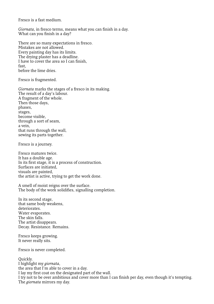Fresco is a fast medium

Giornata, in fresco terms, means what you can finish in a day. What can you finish in a day?

There are so many expectations in fresco. Mistakes are not allowed. Every painting day has its limits. The drying plaster has a deadline. I have to cover the area so I can finish,  $fast$ before the lime dries

Fresco is fragmented.

Giornata marks the stages of a fresco in its making. The result of a day's labour. A fragment of the whole. Then those days, phases. stages, become visible. through a sort of seam, a vein. that runs through the wall, sewing its parts together.

Fresco is a journey.

Fresco matures twice. It has a double age. In its first stage, it is a process of construction. Surfaces are initiated. visuals are painted, the artist is active, trying to get the work done.

A smell of moist reigns over the surface. The body of the work solidifies, signalling completion.

In its second stage, that same body weakens, deteriorates. Water evaporates. The skin falls. The artist disappears. Decay. Resistance. Remains.

Fresco keeps growing. It never really sits.

Fresco is never completed.

Ouickly. I highlight my *giornata*, the area that  $\overline{\mathbf{I}'\mathbf{m}}$  able to cover in a day. I lay my first coat on the designated part of the wall. I try not to be over ambitious and cover more than I can finish per day, even though it's tempting. The *aiornata* mirrors my day.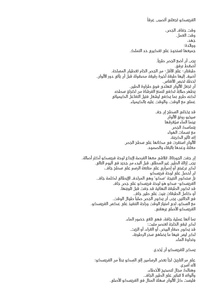ً الفريسكو تجعلني أتصبب عرقا

وقت جفاف الجص، وقت العمل. جهد، ووالدة؛ جميعها تستحوذ على تفكيري حد التملك.

يجب أن أضع الجص طرياً. أضغط برفق. طبقتان- على األقل- من الجص الخام تغطيان المساحة. أضيف إليها طبقة أخيرة رقيقة مصقولة قبل أن يأتي دور األلوان. لحظة تحبس الأنفاس. أن تجعل األلوان تتهادى فوق طراوة الطين. يظهر صلابةً تكفي لتمنع الفرشاة من اختراق سطحه لكنه طري بما يكفي ليشعل فتيل التفاعل الكيميائي عملي مع الوقت، والوقت عليه بالكيمياء.

> قد يخذلني السطح إن جف سيخبو رونق الألوان بينما الماء سيُغرقها يتماسك الجص مع نسمات الهواء إنه تأثير الكربنة. األلوان استقرت في مكانها على سطح الجص معلنةً وعدها بالبقاء والصمود.

إن جفت الجورناتا، تتالشى معها الفرصة إلبداع لوحة فريسكو أكثر أصالة. يجب إزالة الطين غير المطلي، قبل البدء من جديد في اليوم التالي. لكن برغبتي أو إصراري على متابعة الرسم على سطح جاف، لن أحصل على لوحة فريسكو ِ بل ستكون النتيجة 'سكو' وهي المرادف اإليطالي لكلمة جاف. ِ الفريسكو- سكو هو لوحة فريسكو على جص جاف قد تكون الطبقة النهائية قد جفت قبل تلوينها، أو كامل الطبقات بنيت على طين جاف. فّي الحالتين، يجب أن يكون الجصّ صلباً طوال الوقت. ِ مع السكو، لدي امتياز الوقت وراحة التنفيذ على عكس الفريسكو. الفريسكو الأصلي يرهقني.

> بما أنها عملية جافة، فهي تلغي حضور الماء. لكن تبقى الحاجة لعنصر مثبت؛ قد يكون صفار البيض، أو الغراء، أو الزيت. لكن ليس فيها ما يضاهي سحر الرطوبة، ونداوة الماء.

> > يمكن للفريسكو أن يُخدع.

على مر التاريخ، لجأ بعض الرسامين إلى السكو بدلاً من الفريسكو؛ ألنه أسرع، وهنالك مجال لتصحيح الأخطاء، وألوانه لا تتباين على الطين الجاف. فليست كل األلوان سهلة المنال في الفريسكو األصلي.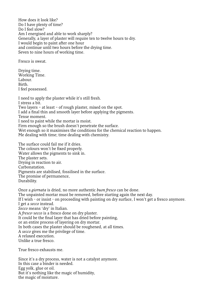How does it look like? Do I have plenty of time? Do I feel slow? Am I energised and able to work sharply? Generally, a layer of plaster will require ten to twelve hours to dry. I would begin to paint after one hour and continue until two hours before the drying time. Seven to nine hours of working time.

Fresco is sweat.

Drving time. Working Time. Labour<sup>1</sup> .Birth I feel possessed.

I need to apply the plaster while it's still fresh. I stress a bit. Two layers – at least – of rough plaster, mixed on the spot. I add a final thin and smooth layer before applying the pigments. Tense moment. I need to paint while the mortar is moist. Firm enough so the brush doesn't penetrate the surface. Wet enough so it maximises the conditions for the chemical reaction to happen. Me dealing with time; time dealing with chemistry.

The surface could fail me if it dries. The colours won't be fixed properly. Water allows the pigments to sink in. The plaster sets. Drying in reaction to air. .Carbonatation Pigments are stabilised, fossilised in the surface. The promise of permanence, .Durability

Once a *giornata* is dried, no more authentic *buon fresco* can be done. The unpainted mortar must be removed, before starting again the next day. If I wish - or insist - on proceeding with painting on dry surface, I won't get a fresco anymore. I get a secco instead. Secco means 'dry' in Italian. A fresco-secco is a fresco done on dry plaster. It could be the final layer that has dried before painting, or an entire process of layering on dry mortar. In both cases the plaster should be roughened, at all times. A secco gives me the privilege of time. A relaxed execution. Unlike a true fresco

True fresco exhausts me

Since it's a dry process, water is not a catalyst anymore. In this case a binder is needed. Egg volk, glue or oil. But it's nothing like the magic of humidity, the magic of moisture.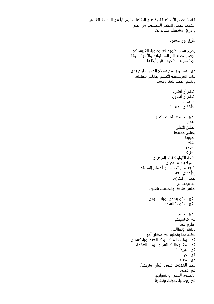فقط بعض الأصباغ قادرة على التفاعل كيميائياً في الوسط القلوي الشديد للجص الطري المصنوع من الجير. والأزرق؛ مشكلةً بحد ذاتها. الأزرق لون عصي. يضيع سحر الالزورد في رطوبة الفريسكو. ويغيب معها ألق السماوات واألردية الزرقاء. ويكتسيها الشحوب قبل أوانها. ِ في السكو يصبح سطح الجص طوع يدي. بينما الفريسكو الأصلي يجعلني مكبلة. ويغدو الخطأ بليغا وحسياً. أتعلم أن أتقبل. أتعلم أن أتجاوز. أستسلم. وتأخذني الدهشة. الفريسكو عملية تصاعدية. ترتقي. أتطلع للأعلى يفتنني حجمها الحيوية الغنى الصمت. الطيف. أشعة الألوان لا ترتد إلى عيني. النور لا ينحرف نحوي. بل يغوص الضوء إلى أعماق السطح. ويأخذني معه. يجب أن أجتازه. إنه يرحب بي. أجلس هناك، والصمت يلفني. الفريسكو يتحدى نوبات الزمن. الفريسكو كالسحر. الفريسكو. بون فريسكو. " ً "طري حقا باللغة اإليطالية. لكنه نما وتطور في مكان آخر. في اليونان، المكسيك، الهند، وباكستان. في المقابر والكنائس والبيوت الفخمة. في سيريالنكا. في الجزر. في المغرب. مصر القديمة، سوريا، لبنان، وتركيا. في الأديرة. القصور، المدن، والشوارع. في رومانيا، صربيا، وبلغاريا.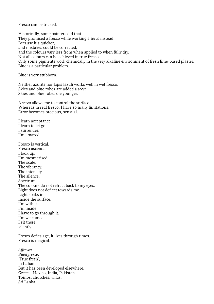Fresco can be tricked

Historically, some painters did that. They promised a fresco while working a secco instead. Because it's quicker, and mistakes could be corrected, and the colours vary less from when applied to when fully dry. Not all colours can be achieved in true fresco. Only some pigments work chemically in the very alkaline environment of fresh lime-based plaster. Blue is a particular problem.

Blue is very stubborn.

Neither azurite nor lapis lazuli works well in wet fresco. Skies and blue robes are added a secco. Skies and blue robes die younger.

A secco allows me to control the surface. Whereas in real fresco, I have so many limitations. Error becomes precious, sensual.

I learn acceptance. I learn to let go. I surrender. I'm amazed

Fresco is vertical Fresco ascends. I look up. I'm mesmerised. The scale The vibrancy. The intensity. The silence. .Spectrum The colours do not refract back to my eves. Light does not deflect towards me. Light soaks in. Inside the surface. I'm with it I'm inside. I have to go through it. I'm welcomed. I sit there .silently

Fresco defies age, it lives through times. Fresco is magical.

.*Affresco* .*fresco Buon* True fresh' in Italian. But it has been developed elsewhere. Greece, Mexico, India Pakistan. Tombs, churches villas Sri Lanka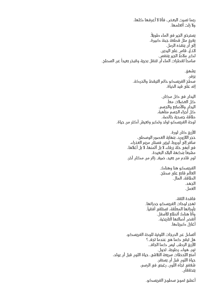ربما نسيت البعض، فأنا ال أعرفها كلها، وال زلت أتعلمها. . ً يسترخي الجير في الماء طويال يغرق مثل قطعة جبنة كبيرة، إلى أن ينقذه الرمل. لاذعٌ، قاس على اليدين. لكن مالط الجير يتنفس. سامحاً لقطرات الماء أن تتنقل بحرية وتتبخر بعيداً عن السطح. يشهق. يزفر. سطح الفريسكو دائم التيقظ والحركة. إنه على قيد الحياة. اليدان في كل مكان. كل العضلات معاً. اليدان والأصابع والجسم. كل أجزاء الجسم متأهبة. طاقة جسدية خالصة. لوحة الفريسكو تولد وتكبر وتعيش أكثر من حياة. األزرق كان ثورة. حجر الالزورد، بنهاية العصور الوسطى، سافر إلى أوروبا، ليزين فستان مريم العذراء، في أبهى حلة زرقاء، ال بل أثمنها، ال بل أغالها، مشبعاً بنكهة البلاد البعيدة. لون قادم من بعيد، ضيف زائر من مكان آخر. الفريسكو هنا وهناك. العالم قابع على سطح. الطاقة، المال. الجهد. العمل. فاقدة الثقة. تهجر لوحات الفريسكو جدرانها. بأوزانها المعلّقة، تستلقي أفقياً. وأنا هناك أتطلع لألسفل. أنفض أصالتها التاريخية. أغازل كبرياءها. أتساءل عن الدرجات اللونية للوحة الفريسكو. هل تبقى كما هي عندما تجف؟ الأزرق الرطب ليس كما الجاف. نور، هواء، رطوبة. تحول. أمتع اللحظات سريعة التالشي، حياة اللون قبل أن يولد، حياة اللون قبل أن يستقر. شغفي تجاه اللون، رغبتي في الرسم، يتحققان. أعشق تموج سطوح الفريسكو.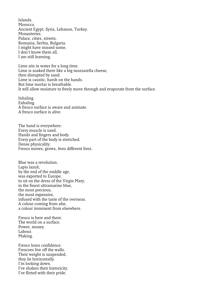.Islands Morocco Ancient Egypt, Syria, Lebanon, Turkey. Monasteries Palace, cities, streets. Romania, Serbia, Bulgaria. I might have missed some, I don't know them all, I am still learning.

Lime sits in water for a long time. Lime is soaked there like a big mozzarella cheese, then disrupted by sand. Lime is caustic, harsh on the hands. But lime mortar is breathable It will allow moisture to freely move through and evaporate from the surface.

.Inhaling Exhaling. A fresco surface is aware and animate. A fresco surface is alive

The hand is everywhere. Every muscle is used. Hands and fingers and body. Every part of the body is stretched. Dense physicality. Fresco moves, grows, lives different lives.

Blue was a revolution. Lapis lazuli. by the end of the middle age, was exported to Europe, to sit on the dress of the Virgin Mary, in the finest ultramarine blue. the most precious. the most expensive, infused with the taste of the overseas. A colour coming from afar. a colour imminent from elsewhere

Fresco is here and there. The world on a surface. Power, money. Labour. Making.

Fresco loses confidence Frescoes live off the walls. Their weight is suspended. they lie horizontally. I'm looking down. I've shaken their historicity. I've flirted with their pride.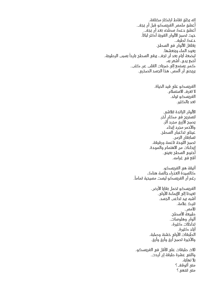إنه يخلق نقاط ارتكاز مختلفة. أعشق ملمس الفريسكو قبل أن يجف. أعشق دعك سطحه بعد أن يجف. حيث تصبح الألوان القوية أكثر ثباتاً. دعك لطيف. يغلغل الألوان في السطح. يعود الماء وينعشها. لبضعة أيام بعد أن تجف، يبقى السطح بارداً بسبب الرطوبة. أضع يدي، أشعر به، كمن يستمع إلى ضربات القلب عن كثب. يريحني أن ألمس، هذا الجسد الصخري.

> الفريسكو على قيد الحياة. لا تعرف الاستسلام. الفريسكو تولد. تعد بالكثير.

الألوان الزائدة تتلاشى. لتستريح في مكان آخر. يصبح األزرق مجرد أثر. واألحمر مجرد إيحاء. عيناي تداعبان السطح. تسابقان الزمن. تصبح اللوحة ناعمة ورقيقة. إيحاءات من االهتمام والمودة. أحتوي السطح بعيني. أقع في غرامه.

أنيقة هي الفريسكو. كالسيدة العذراء جالسة هناك، . ً رغم أن الفريسكو ليست مسيحية تماما

> الفريسكو تحمل بقايا الأرض. تعيدنا إلى الإيماءة الأولى. أشبه بيد تداعب الجسد. تترك عالمة. تالمس. طبيعة الأسطد. ألوان وهلوسات. تداخالت كثيرة، ٍ أياد كثيرة. الطبقات األولى خشنة وصلبة. واألخيرة تصبح أرق وأرق وأرق.

ثلاث طبقات على الأقل في الفريسكو. واثنتي عشرة طبقة إن أردت. بال نهاية. متى أتوقف؟ متى تنتهي؟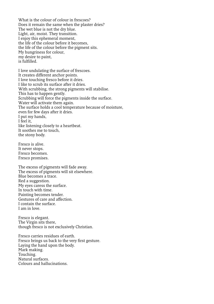What is the colour of colour in frescoes? Does it remain the same when the plaster dries? The wet blue is not the dry blue. Light, air, moist. They transition. I enjoy this ephemeral moment. the life of the colour before it becomes, the life of the colour before the pigment sits. My hungriness for colour, my desire to paint. .fulfilled is

I love undulating the surface of frescoes. It creates different anchor points. I love touching fresco before it dries. I like to scrub its surface after it dries. With scrubbing, the strong pigments will stabilise. This has to happen gently. Scrubbing will force the pigments inside the surface. Water will activate them again. The surface holds a cool temperature because of moisture, even for few days after it dries. I put my hands. I feel it. like listening closely to a heartbeat. It soothes me to touch. the stony body.

Fresco is alive. It never stops. Fresco becomes. Fresco promises.

The excess of pigments will fade away. The excess of pigments will sit elsewhere. Blue becomes a trace. Red a suggestion. My eyes caress the surface. In touch with time. Painting becomes tender. Gestures of care and affection. I contain the surface. I am in love

Fresco is elegant. The Virgin sits there, though fresco is not exclusively Christian.

Fresco carries residues of earth Fresco brings us back to the very first gesture. Laying the hand upon the body. Mark making. .Touching Natural surfaces Colours and hallucinations.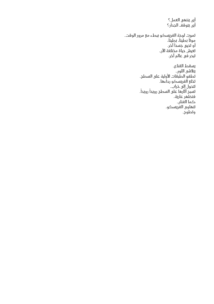أين ينتهي العمل؟ أين يتوقف الجدار؟ تموت لوحة الفريسكو ببطء مع مرور الوقت. موتاً بطيئاً، بطيئاً، أو تحيي جسداً آخر. تعيش حياة مختلفة الان. تبحر في عالم آخر. يسقط القناع. يتالشى اللون. .<br>تطفو الطبقات الأولية على السطح. تخلع الفريسكو رداءها. تتحول إلى خراب. تسبَّح آثَارها على السطح رويداً رويداً. فتظهر عارية. كما الفنان. تتهاوى الفريسكو.

وتطوح.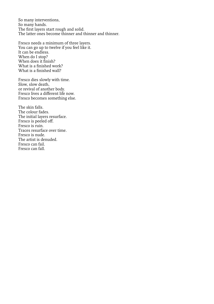So many interventions, So many hands. The first layers start rough and solid. The latter ones become thinner and thinner and thinner.

Fresco needs a minimum of three layers. You can go up to twelve if you feel like it. It can be endless. When do I stop? When does it finish? What is a finished work? What is a finished wall?

Fresco dies slowly with time. Slow, slow death, or revival of another body. Fresco lives a different life now. Fresco becomes something else.

The skin falls The colour fades. The initial layers resurface. Fresco is peeled off. Fresco is ruin. Traces resurface over time. Fresco is nude The artist is denuded. Fresco can fail Fresco can fall.